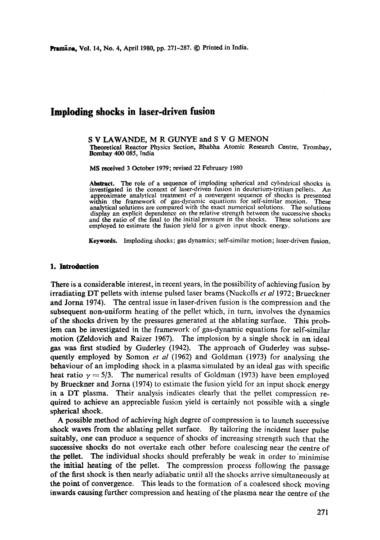# **Imploding shocks in laser-driven fusion**

S V LAWANDE, M R GUNYE and S V G MENON Theoretical Reactor Physics Section, Bhabha Atomic Research Centre, Trombay, Bombay 400 085, India

MS received 3 October 1979; revised 22 February 1980

**Abstract.** The role of a sequence of imploding spherical and cylindrical shocks is investigated in the context of laser-driven fusion in deuterium-tritium pellets. An approximate analytical treatment of a convergent sequence of shocks is presented **within** the framework of gas-dynamic equations for self-similar motion. These analytical solutions are compared with the exact numerical solutions. The solutions display an explicit dependence on the relative strength between the successive shocks and the ratio of the final to the initial pressure in the shocks. These solutions are and the ratio of the final to the initial pressure in the shocks. employed to estimate the fusion yield for a given input shock energy.

**Keywords.** Imploding shocks; gas dynamics; self-similar motion; laser-driven fusion,

## **1. Introduction**

There is a considerable interest, in recent years, in the possibility of achieving fusion by irradiating DT pellets with intense pulsed laser beams (Nuckolls *et al* 1972; Brueckner and Jorna 1974). The central issue in laser-driven fusion is the compression and the subsequent non-uniform heating of the pellet which, in turn, involves the dynamics of the shocks driven by the pressures generated at the ablating surface. This problem can be investigated in the framework of gas-dynamic equations for self-similar motion (Zeldovieh and Raizer 1967). The implosion by a single shock in an ideal gas was first studied by Guderley (1942). The approach of Guderley was subsequently employed by Somon *et al* (1962) and Goldman (1973) for analysing the behaviour of an imploding shock in a plasma simulated by an ideal gas with specific heat ratio  $\gamma = 5/3$ . The numerical results of Goldman (1973) have been employed by Brueckner and Jorna (1974) to estimate the fusion yield for an input shock energy in a DT plasma. Their analysis indicates clearly that the pellet compression required to achieve an appreciable fusion yield is certainly not possible with a single spherical shock.

A possible method of achieving high degree of compression is to launch successive shock waves from the ablating pellet surface. By tailoring the incident laser pulse suitably, one can produce a sequence of shocks of increasing strength such that the successive shocks do not overtake each other before coalescing near the centre of the pellet. The individual shocks should preferably be weak in order to minimise **the** initial heating of the pellet. The compression process following the passage of the first shock is then nearly adiabatic until all the shocks arrive simultaneously at the point of convergence. This leads to the formation of a coalesced shock moving inwards causing further compression and heating of the plasma near the centre of the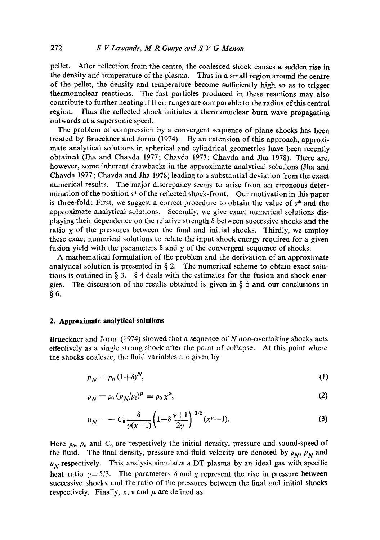pellet. After reflection from the centre, the coalesced shock causes a sudden rise in the density and temperature of the plasma. Thus in a small region around the centre of the pellet, the density and temperature become sufficiently high so as to trigger thermonuclear reactions. The fast particles produced in these reactions may also contribute to further heating if their ranges are comparable to the radius of this central region. Thus the reflected shock initiates a thermonuclear burn wave propagating outwards at a supersonic speed.

The problem of compression by a convergent sequence of plane shocks has been treated by Brueckner and Jorna (1974). By an extension of this approach, approximate analytical solutions in spherical and cylindrical geometries have been recently obtained (Jha and Chavda 1977; Chavda 1977; Chavda and Jha 1978). There are, however, some inherent drawbacks in the approximate analytical solutions (Jha and Chavda 1977; Chavda and Jha 1978) leading to a substantial deviation from the exact numerical results. The major discrepancy seems to arise from an erroneous determination of the position  $s^*$  of the reflected shock-front. Our motivation in this paper is three-fold: First, we suggest a correct procedure to obtain the value of  $s^*$  and the approximate analytical solutions. Secondly, we give exact numerical solutions displaying their dependence on the relative strength  $\delta$  between successive shocks and the ratio  $x$  of the pressures between the final and initial shocks. Thirdly, we employ these exact numerical solutions to relate the input shock energy required for a given fusion yield with the parameters  $\delta$  and  $\chi$  of the convergent sequence of shocks.

A mathematical formulation of the problem and the derivation of an approximate analytical solution is presented in  $\S$  2. The numerical scheme to obtain exact solutions is outlined in  $\S 3$ .  $\S 4$  deals with the estimates for the fusion and shock energies. The discussion of the results obtained is given in § 5 and our conclusions in **§6.** 

## **2. Approximate analytical solutions**

Brueckner and Jo $\pi$ na (1974) showed that a sequence of N non-overtaking shocks acts effectively as a single strong shock after the point of collapse. At this point where the shocks coalesce, the fluid variables are given by

$$
p_N = p_0 \left(1 + \delta\right)^N, \tag{1}
$$

$$
\rho_N = \rho_0 \left( \rho_N / \rho_0 \right)^\mu \equiv \rho_0 \chi^\mu, \tag{2}
$$

$$
u_N = -C_0 \frac{\delta}{\gamma(x-1)} \left( 1 + \delta \frac{\gamma + 1}{2\gamma} \right)^{-1/2} (x^{\nu} - 1).
$$
 (3)

Here  $\rho_0$ ,  $p_0$  and  $C_0$  are respectively the initial density, pressure and sound-speed of the fluid. The final density, pressure and fluid velocity are denoted by  $\rho_N$ ,  $p_N$  and  $u_N$  respectively. This analysis simulates a DT plasma by an ideal gas with specific heat ratio  $\gamma = 5/3$ . The parameters  $\delta$  and  $\chi$  represent the rise in pressure between successive shocks and the ratio of the pressures between the final and initial shocks respectively. Finally, x,  $\nu$  and  $\mu$  are defined as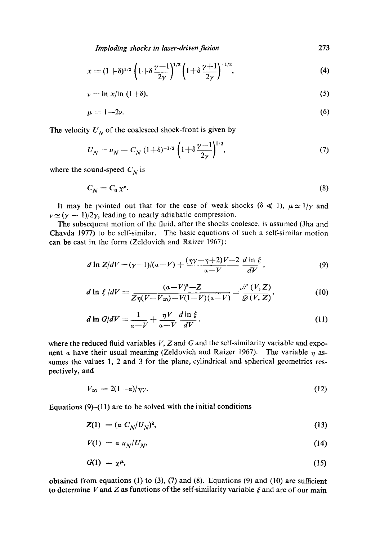*Imploding shocks in laser-driven fusion* 

$$
x = (1+\delta)^{1/2} \left(1+\delta \frac{\gamma-1}{2\gamma}\right)^{1/2} \left(1+\delta \frac{\gamma+1}{2\gamma}\right)^{-1/2},\tag{4}
$$

$$
\nu - \ln x / \ln (1+\delta), \tag{5}
$$

$$
\mu = 1 - 2\nu. \tag{6}
$$

The velocity  $U_N$  of the coalesced shock-front is given by

$$
U_N = u_N - C_N (1+\delta)^{-1/2} \left(1+\delta \frac{\gamma-1}{2\gamma}\right)^{1/2},\tag{7}
$$

where the sound-speed  $C_N$  is

$$
C_N = C_0 \chi^{\nu}.
$$
 (8)

It may be pointed out that for the case of weak shocks ( $\delta \ll 1$ ),  $\mu \approx 1/\gamma$  and  $\nu \approx (\gamma - 1)/2\gamma$ , leading to nearly adiabatic compression.

The subsequent motion of the fluid, after the shocks coalesce, is assumed (Jha and Chavda 1977) to be self-similar. The basic equations of such a self-similar motion can be cast in the form (Zeldovich and Raizer 1967):

$$
d \ln Z/dV = (\gamma - 1)/(\alpha - V) + \frac{(\eta \gamma - \eta + 2)V - 2}{\alpha - V} \frac{d \ln \xi}{dV},
$$
 (9)

$$
d \ln \xi / dV = \frac{(a-V)^2 - Z}{Z\eta(V - V_{\infty}) - V(1 - V)(a - V)} = \frac{\mathcal{N}(V, Z)}{\mathcal{D}(V, Z)},
$$
(10)

$$
d \ln G/dV = \frac{1}{a - V} + \frac{\eta V}{a - V} \frac{d \ln \xi}{dV},
$$
\n(11)

where the reduced fluid variables  $V$ , Z and G and the self-similarity variable and exponent a have their usual meaning (Zeldovich and Raizer 1967). The variable  $\eta$  assumes the values 1, 2 and 3 for the plane, cylindrical and spherical geometrics respectively, and

$$
V_{\infty} = 2(1 - \alpha)/\eta \gamma. \tag{12}
$$

Equations  $(9)$ - $(11)$  are to be solved with the initial conditions

$$
Z(1) = (\alpha C_N/U_N)^2, \qquad (13)
$$

$$
V(1) = \alpha u_N / U_N, \qquad (14)
$$

$$
G(1) = \chi^{\mu}, \tag{15}
$$

obtained from equations (1) to (3), (7) and (8). Equations (9) and (10) are sufficient to determine V and Z as functions of the self-similarity variable  $\xi$  and are of our main

273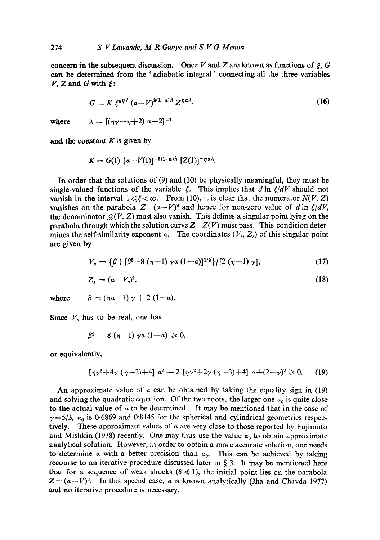concern in the subsequent discussion. Once V and Z are known as functions of  $\xi$ , G can be determined from the 'adiabatic integral' connecting all the three variables  $V, Z$  and G with  $\xi$ :

$$
G = K \xi^{\alpha \eta \lambda} (a - V)^{2(1 - \alpha) \lambda} Z^{\eta \alpha \lambda}.
$$
 (16)

where  $\lambda =$ 

$$
[(\eta\gamma-\eta+2) a-2]^{-1}
$$

and the constant  $K$  is given by

$$
K = G(1) [a - V(1)]^{-2(1-a)\lambda} [Z(1)]^{-\eta a\lambda}.
$$

In order that the solutions of (9) and (10) be physically meaningful, they must be single-valued functions of the variable  $\xi$ . This implies that d ln  $\xi/dV$  should not vanish in the interval  $1 \leq \xi < \infty$ . From (10), it is clear that the numerator *N(V, Z)* vanishes on the parabola  $Z=(a-V)^2$  and hence for non-zero value of dln  $\xi/dV$ , the denominator  $\mathcal{D}(V, Z)$  must also vanish. This defines a singular point lying on the parabola through which the solution curve  $Z = Z(V)$  must pass. This condition determines the self-similarity exponent  $\alpha$ . The coordinates (V<sub>s</sub>, Z<sub>s</sub>) of this singular point are given by

$$
V_s = \left\{ \beta + [\beta^2 - 8 (\eta - 1) \gamma \alpha (1 - \alpha)]^{1/2} \right\} / [2 (\eta - 1) \gamma], \tag{17}
$$

$$
Z_s = (a - V_s)^2, \tag{18}
$$

where  $\beta = (\eta a - 1) \gamma + 2 (1 - a).$ 

Since  $V<sub>s</sub>$  has to be real, one has

$$
\beta^2-8(\eta-1)\gamma a(1-a)\geqslant 0,
$$

or equivalently,

$$
[\eta \gamma^2 + 4\gamma (\eta - 2) + 4] a^2 - 2 [\eta \gamma^2 + 2\gamma (\eta - 3) + 4] a + (2 - \gamma)^2 \geq 0. \tag{19}
$$

An approximate value of  $\alpha$  can be obtained by taking the equality sign in (19) and solving the quadratic equation. Of the two roots, the larger one  $a_0$  is quite close to the actual value of  $\alpha$  to be determined. It may be mentioned that in the case of  $\gamma = 5/3$ ,  $\alpha_0$  is 0.6869 and 0.8145 for the spherical and cylindrical geometries respectively. These approximate values of  $\alpha$  are very close to those reported by Fujimoto and Mishkin (1978) recently. One may thus use the value  $\alpha_0$  to obtain approximate analytical solution. However, in order to obtain a more accurate solution, one needs to determine  $\alpha$  with a better precision than  $\alpha_0$ . This can be achieved by taking recourse to an iterative procedure discussed later in  $\S$  3. It may be mentioned here that for a sequence of weak shocks  $(\delta \ll 1)$ , the initial point lies on the parabola  $Z=(a-V)^2$ . In this special case, a is known analytically (Jha and Chavda 1977) and no iterative procedure is necessary.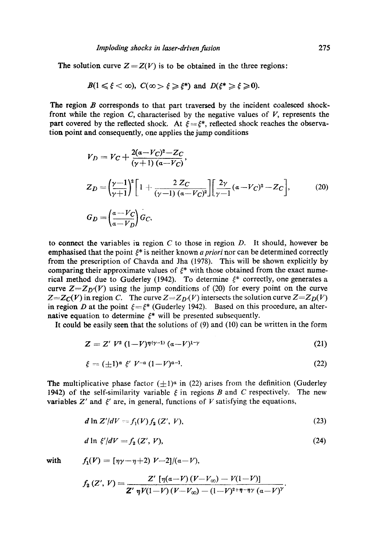The solution curve  $Z = Z(V)$  is to be obtained in the three regions:

$$
B(1 \leq \xi < \infty), \ C(\infty > \xi \geq \xi^*) \ \text{and} \ D(\xi^* \geq \xi \geq 0).
$$

The region  $B$  corresponds to that part traversed by the incident coalesced shockfront while the region  $C$ , characterised by the negative values of  $V$ , represents the part covered by the reflected shock. At  $\xi = \xi^*$ , reflected shock reaches the observation point and consequently, one applies the jump conditions

$$
V_D = V_C + \frac{2(a - V_C)^2 - Z_C}{(\gamma + 1) (a - V_C)},
$$
  
\n
$$
Z_D = \left(\frac{\gamma - 1}{\gamma + 1}\right)^2 \left[1 + \frac{2 Z_C}{(\gamma - 1) (a - V_C)^2}\right] \left[\frac{2\gamma}{\gamma - 1} (a - V_C)^2 - Z_C\right],
$$
\n
$$
G_D = \left(\frac{a - V_C}{a - V_D}\right) G_C,
$$
\n(20)

to connect the variables in region  $C$  to those in region  $D$ . It should, however be emphasised that the point  $\xi^*$  is neither known *a priori* nor can be determined correctly from the prescription of Chavda and Jha (1978). This will be shown explicitly by comparing their approximate values of  $\xi^*$  with those obtained from the exact numerical method due to Guderley (1942). To determine  $\xi^*$  correctly, one generates a curve  $Z = Z_D(V)$  using the jump conditions of (20) for every point on the curve  $Z=Z_{\mathcal{C}}(V)$  in region *C*. The curve  $Z=Z_{\mathcal{D}}(V)$  intersects the solution curve  $Z=Z_{\mathcal{D}}(V)$ in region D at the point  $\xi = \xi^*$  (Guderley 1942). Based on this procedure, an alternative equation to determine  $\xi^*$  will be presented subsequently.

It could be easily seen that the solutions of (9) and (10) can be written in the form

$$
Z = Z' V^2 (1 - V)^{\eta(\gamma - 1)} (\alpha - V)^{1 - \gamma}
$$
 (21)

$$
\xi = (\pm 1)^a \xi' V^{-a} (1 - V)^{a-1}.
$$
 (22)

The multiplicative phase factor  $(\pm 1)^\alpha$  in (22) arises from the definition (Guderley 1942) of the self-similarity variable  $\xi$  in regions B and C respectively. The new variables  $Z'$  and  $\xi'$  are, in general, functions of V satisfying the equations,

$$
d \ln Z'/dV = f_1(V) f_2(Z', V), \tag{23}
$$

$$
d \ln \xi' / dV = f_2(Z', V), \tag{24}
$$

with 
$$
f_1(V) = \left[\eta \gamma - \eta + 2\right] V - 2 \left[ \frac{\alpha - V}{2} \right].
$$

$$
f_2(Z', V) = \frac{Z' \left[ \eta(a-V) (V-V_{\infty}) - V(1-V) \right]}{Z' \eta V(1-V) (V-V_{\infty}) - (1-V)^{2+\eta-\eta \gamma} (a-V)^{\gamma}}.
$$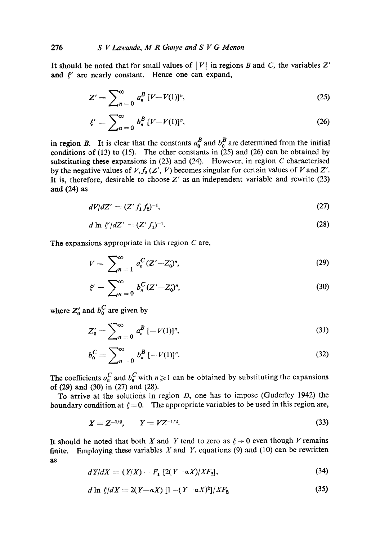It should be noted that for small values of  $|V|$  in regions B and C, the variables Z' and  $\xi'$  are nearly constant. Hence one can expand,

$$
Z' = \sum_{n=0}^{\infty} a_n^B \left[ V - V(1) \right]^n, \tag{25}
$$

$$
\xi' = \sum_{n=0}^{\infty} b_n^B \left[ V - V(1) \right]^n, \tag{26}
$$

in region B. It is clear that the constants  $a_0^B$  and  $b_0^B$  are determined from the initial conditions of  $(13)$  to  $(15)$ . The other constants in  $(25)$  and  $(26)$  can be obtained by substituting these expansions in  $(23)$  and  $(24)$ . However, in region C characterised by the negative values of  $V, f_2(Z', V)$  becomes singular for certain values of V and Z'. It is, therefore, desirable to choose  $Z'$  as an independent variable and rewrite (23) and (24) as

$$
dV/dZ' = (Z' f_1 f_2)^{-1}, \tag{27}
$$

$$
d \ln \xi' / dZ' = (Z' f_1)^{-1}.
$$
 (28)

The expansions appropriate in this region C are,

$$
V = \sum_{n=1}^{\infty} a_n^C (Z' - Z'_0)^n,
$$
 (29)

$$
\xi' = \sum_{n=0}^{\infty} b_n^C (Z' - Z'_0)^n,
$$
\n(30)

where  $Z'_0$  and  $b_0^C$  are given by

$$
Z'_0 = \sum_{n=0}^{\infty} a_n^B \left[ -V(1) \right]^n, \tag{31}
$$

$$
b_0^C = \sum_{n=0}^{\infty} b_n^B \left[ -V(1) \right]^n. \tag{32}
$$

The coefficients  $a_n^C$  and  $b_n^C$  with  $n \ge 1$  can be obtained by substituting the expansions of (29) and (30) in (27) and (28).

To arrive at the solutions in region  $D$ , one has to impose (Guderley 1942) the boundary condition at  $\xi = 0$ . The appropriate variables to be used in this region are,

$$
X = Z^{-1/2}, \qquad Y = VZ^{-1/2}.
$$
 (33)

It should be noted that both X and Y tend to zero as  $\xi \rightarrow 0$  even though V remains finite. Employing these variables  $X$  and  $Y$ , equations (9) and (10) can be rewritten as

$$
dY/dX = (Y/X) - F_1 \left[2(Y - \alpha X)/XF_2\right],\tag{34}
$$

$$
d \ln \xi/dX = 2(Y - \alpha X) \left[1 - (Y - \alpha X)^2\right]/XF_2 \tag{35}
$$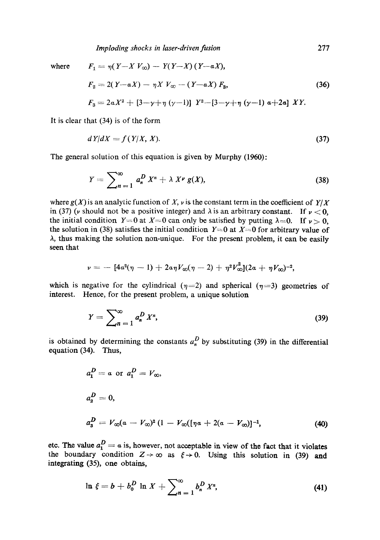*Imploding shocks in laser-driven fusion* 

where 
$$
F_1 = \eta (Y - X V_{\infty}) - Y(Y - X) (Y - \alpha X),
$$
  
\n $F_2 = 2(Y - \alpha X) - \eta X V_{\infty} - (Y - \alpha X) F_3,$  (36)  
\n $F_3 = 2\alpha X^2 + [3 - \gamma + \eta (\gamma - 1)] Y^2 - [3 - \gamma + \eta (\gamma - 1) \alpha + 2\alpha] XY.$ 

It is clear that (34) is of the form

$$
dY/dX = f(Y/X, X). \tag{37}
$$

The general solution of this equation is given by Murphy (1960):

$$
Y = \sum_{n=1}^{\infty} a_n^D X^n + \lambda X^{\nu} g(X), \qquad (38)
$$

where  $g(X)$  is an analytic function of X, v is the constant term in the coefficient of  $Y/X$ in (37) (v should not be a positive integer) and  $\lambda$  is an arbitrary constant. If  $\nu < 0$ , the initial condition  $Y=0$  at  $X=0$  can only be satisfied by putting  $\lambda=0$ . If  $\nu>0$ , the solution in (38) satisfies the initial condition  $Y=0$  at  $X=0$  for arbitrary value of A, thus making the solution non-unique. For the present problem, it can be easily seen that

$$
\nu = -[4a^2(\eta - 1) + 2a\eta V_{\infty}(\eta - 2) + \eta^2 V_{\infty}^2](2a + \eta V_{\infty})^{-2},
$$

which is negative for the cylindrical ( $\eta$ =2) and spherical ( $\eta$ =3) geometries of interest. Hence, for the present problem, a unique solution

$$
Y = \sum_{n=1}^{\infty} a_n^D X^n,
$$
 (39)

is obtained by determining the constants  $a_n^D$  by substituting (39) in the differential equation (34). Thus,

$$
a_1^D = a \text{ or } a_1^D = V_{\infty},
$$
  
\n
$$
a_2^D = 0,
$$
  
\n
$$
a_3^D = V_{\infty}(a - V_{\infty})^2 (1 - V_{\infty}([\eta a + 2(a - V_{\infty})]^{-1},
$$
\n(40)

etc. The value  $a_1^2 = \alpha$  is, however, not acceptable in view of the fact that it violates the boundary condition  $Z \rightarrow \infty$  as  $\xi \rightarrow 0$ . Using this solution in (39) and integrating (35), one obtains,

$$
\ln \xi = b + b_0^D \ln X + \sum_{n=1}^{\infty} b_n^D X^n, \tag{41}
$$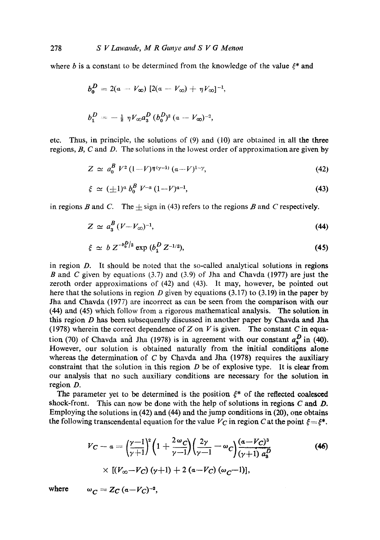where b is a constant to be determined from the knowledge of the value  $\xi^*$  and

$$
b_0^D = 2(a - V_{\infty}) [2(a - V_{\infty}) + \eta V_{\infty}]^{-1},
$$
  

$$
b_1^D = -\frac{1}{2} \eta V_{\infty} a_3^D (b_0^D)^2 (a - V_{\infty})^{-2},
$$

etc. Thus, in principle, the solutions of (9) and (10) are obtained in all the three regions,  $B$ ,  $C$  and  $D$ . The solutions in the lowest order of approximation are given by

$$
Z \simeq a_0^B V^2 (1 - V) \eta^{(\gamma - 1)} (a - V)^{1 - \gamma}, \tag{42}
$$

$$
\xi \simeq (\pm 1)^a \, b_0^B \, V^{-a} \, (1 - V)^{a-1}, \tag{43}
$$

in regions B and C. The  $\pm$  sign in (43) refers to the regions B and C respectively.

$$
Z \simeq a_3^B \left( V - V_{\infty} \right)^{-1},\tag{44}
$$

$$
\xi \simeq b Z^{-b_0^D/2} \exp{(b_1^D Z^{-1/2})}, \tag{45}
$$

in region D. It should be noted that the so-called analytical solutions in regions B and C given by equations (3.7) and (3.9) of Jha and Chavda (1977) are just the zeroth order approximations of (42) and (43). It may, however, be pointed out here that the solutions in region  $D$  given by equations (3.17) to (3.19) in the paper by Jha and Chavda (1977) are incorrect as can be seen from the comparison with our (44) and (45) which follow from a rigorous mathematical analysis. The solution in this region  $D$  has been subsequently discussed in another paper by Chavda and Jha (1978) wherein the correct dependence of Z on V is given. The constant C in equation (70) of Chavda and Jha (1978) is in agreement with our constant  $a_3^D$  in (40). However, our solution is obtained naturally from the initial conditions alone whereas the determination of  $C$  by Chavda and Jha (1978) requires the auxiliary constraint that the solution in this region  $D$  be of explosive type. It is clear from our analysis that no such auxiliary conditions are necessary for the solution in region D.

The parameter yet to be determined is the position  $\xi^*$  of the reflected coalesced shock-front. This can now be done with the help of solutions in regions  $C$  and  $D$ . Employing the solutions in (42) and (44) and the jump conditions in (20), one obtains the following transcendental equation for the value  $V_C$  in region C at the point  $\xi = \xi^*$ .

$$
V_C - a = \left(\frac{\gamma - 1}{\gamma + 1}\right)^2 \left(1 + \frac{2\omega_C}{\gamma - 1}\right) \left(\frac{2\gamma}{\gamma - 1} - \omega_C\right) \frac{(a - V_C)^3}{(\gamma + 1) a_3^D} \times \left[(V_{\infty} - V_C)(\gamma + 1) + 2(a - V_C)(\omega_C - 1)\right],
$$
 (46)

where  $\omega$ 

$$
C = ZC (a - V_C)^{-2},
$$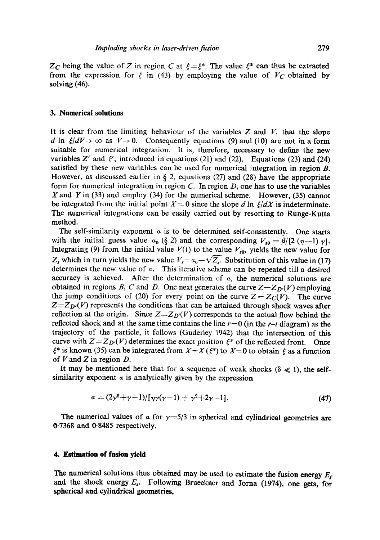$Z_C$  being the value of Z in region C at  $\xi = \xi^*$ . The value  $\xi^*$  can thus be extracted from the expression for  $\xi$  in (43) by employing the value of  $V_C$  obtained by solving (46).

#### **3. Numerical solutions**

It is clear from the limiting behaviour of the variables  $Z$  and  $V$ , that the slope d ln  $\xi/dV \rightarrow \infty$  as  $V \rightarrow 0$ . Consequently equations (9) and (10) are not in a form suitable for numerical integration. It is, therefore, necessary to define the new variables Z' and  $\xi'$ , introduced in equations (21) and (22). Equations (23) and (24) satisfied by these new variables can be used for numerical integration in region  $\bm{B}$ . However, as discussed earlier in  $\S$  2, equations (27) and (28) have the appropriate form for numerical integration in region C. In region  $D$ , one has to use the variables X and Y in (33) and employ (34) for the numerical scheme. However, (35) cannot be integrated from the initial point  $X=0$  since the slope d ln  $\xi/dX$  is indeterminate. The numerical integrations can be easily carried out by resorting to Runge-Kutta method.

The self-similarity exponent  $\alpha$  is to be determined self-consistently. One starts with the initial guess value  $a_0$  (§ 2) and the corresponding  $V_{s0} = \beta/[2 (\eta -1) \gamma]$ . Integrating (9) from the initial value  $V(1)$  to the value  $V_{s0}$ , yields the new value for  $Z_s$  which in turn yields the new value  $V_s = a_0 - \sqrt{Z_s}$ . Substitution of this value in (17) determines the new value of  $\alpha$ . This iterative scheme can be repeated till a desired accuracy is achieved. After the determination of  $\alpha$ , the numerical solutions are obtained in regions B, C and D. One next generates the curve  $Z = Z_{D}(V)$  employing the jump conditions of (20) for every point on the curve  $Z = Z<sub>C</sub>(V)$ . The curve  $Z = Z_D(V)$  represents the conditions that can be attained through shock waves after reflection at the origin. Since  $Z = Z_D(V)$  corresponds to the actual flow behind the reflected shock and at the same time contains the line  $r=0$  (in the  $r-t$  diagram) as the trajectory of the particle, it follows (Guderley 1942) that the intersection of this curve with  $Z = Z_D(V)$  determines the exact position  $\xi^*$  of the reflected front. Once  $\xi^*$  is known (35) can be integrated from  $X=X(\xi^*)$  to  $X=0$  to obtain  $\xi$  as a function of  $V$  and  $Z$  in region  $D$ .

It may be mentioned here that for a sequence of weak shocks ( $\delta \ll 1$ ), the selfsimilarity exponent  $\alpha$  is analytically given by the expression

$$
a = (2\gamma^2 + \gamma - 1)/[\eta\gamma(\gamma - 1) + \gamma^2 + 2\gamma - 1].
$$
\n(47)

The numerical values of  $\alpha$  for  $\gamma = 5/3$  in spherical and cylindrical geometries are 0.7368 and 0"8485 respectively.

#### **4, Estimation of fusion yield**

The numerical solutions thus obtained may be used to estimate the fusion energy  $E_r$ and the shock energy  $E_s$ . Following Brueckner and Jorna (1974), one gets, for spherical and cylindrical geometries,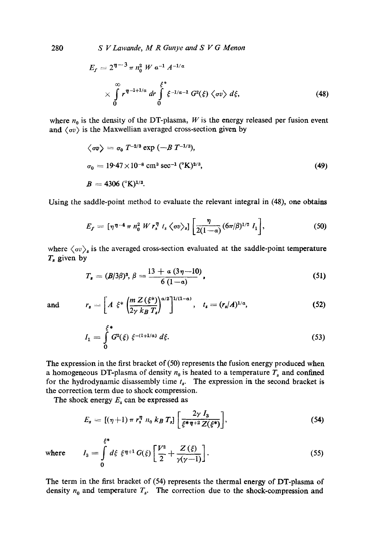280 *S V Lawande, M R Gunye and S V G Menon* 

$$
E_f = 2^{\eta - 3} \pi n_0^2 W a^{-1} A^{-1/a}
$$
  
\$\times \int\_{0}^{\infty} r^{\eta - 1 + 1/a} dr \int\_{0}^{\xi^\*} \xi^{-1/a - 1} G^2(\xi) \langle \sigma v \rangle d\xi, \qquad (48)\$

where  $n_0$  is the density of the DT-plasma, W is the energy released per fusion event and  $\langle \sigma v \rangle$  is the Maxwellian averaged cross-section given by

$$
\langle \sigma v \rangle = \sigma_0 T^{-2/3} \exp(-B T^{-1/3}),
$$
  
\n $\sigma_0 = 19.47 \times 10^{-8} \text{ cm}^3 \text{ sec}^{-1} ({}^{\circ}\text{K})^{2/3},$   
\n $B = 4306 ({}^{\circ}\text{K})^{1/3}.$  (49)

Using the saddle-point method to evaluate the relevant integral in (48), one obtains

$$
E_f = \left[ \eta^{\eta - 4} \pi n_0^2 W r_s^{\eta} t_s \langle \sigma v \rangle_s \right] \left[ \frac{\eta}{2(1 - a)} (6\pi/\beta)^{1/2} I_1 \right], \tag{50}
$$

where  $\langle \sigma v \rangle_s$  is the averaged cross-section evaluated at the saddle-point temperature  $T_s$  given by

$$
T_s = (B/3\beta)^3, \beta = \frac{13 + a(3\eta - 10)}{6(1 - a)},
$$
\n(51)

and 
$$
r_s = \left[A \xi^* \left(\frac{m Z(\xi^*)}{2\gamma k_B T_s}\right)^{a/2}\right]^{1/(1-a)}, t_s = (r_s/A)^{1/a},
$$
 (52)

$$
I_1 = \int_0^{\xi^*} G^2(\xi) \xi^{-(1+1/\alpha)} d\xi.
$$
 (53)

The expression in the first bracket of (50) represents the fusion energy produced when a homogeneous DT-plasma of density  $n_0$  is heated to a temperature  $T_s$  and confined for the hydrodynamic disassembly time  $t_s$ . The expression in the second bracket is the correction term due to shock compression.

The shock energy  $E_s$  can be expressed as

$$
E_s = [(\eta + 1) \pi r_s^{\eta} n_0 k_B T_s] \left[ \frac{2\gamma I_3}{\xi^* \eta + 2Z(\xi^*)} \right],
$$
 (54)

where 
$$
I_3 = \int_0^{\xi^*} d\xi \xi^{\eta+1} G(\xi) \left[ \frac{V^2}{2} + \frac{Z(\xi)}{\gamma(\gamma-1)} \right].
$$
 (55)

The term in the first bracket of (54) represents the thermal energy of DT-plasma of density  $n_0$  and temperature  $T_s$ . The correction due to the shock-compression and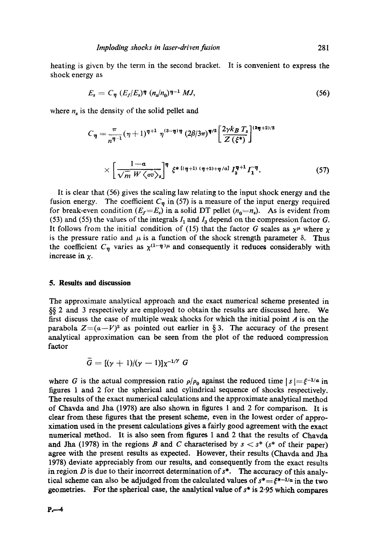heating is given by the term in the second bracket. It is convenient to express the shock energy as

$$
E_s = C_{\eta} \left( E_f / E_s \right) \eta \left( n_s / n_0 \right) \eta^{-1} MJ, \qquad (56)
$$

where  $n_s$  is the density of the solid pellet and

$$
C_{\eta} = \frac{\pi}{n^{\eta - 1}} (\eta + 1)^{\eta + 1} \eta^{(3 - \eta)\eta} (2\beta/3\pi)^{\eta/2} \left[ \frac{2\gamma k_B T_s}{Z(\xi^*)} \right]^{(3\eta + 2)/2}
$$
  
 
$$
\times \left[ \frac{1 - a}{\sqrt{m} W \langle \sigma v \rangle_s} \right]^{\eta} \xi^* \left[ (\eta + 1) (\eta + 2) + \eta/a \right] I_3^{\eta + 1} I_1^{\eta}. \tag{57}
$$

It is clear that (56) gives the scaling law relating to the input shock energy and the fusion energy. The coefficient  $C_{\eta}$  in (57) is a measure of the input energy required for break-even condition ( $E_f=E_s$ ) in a solid DT pellet ( $n_0=n_s$ ). As is evident from (53) and (55) the values of the integrals  $I_1$  and  $I_3$  depend on the compression factor G. It follows from the initial condition of (15) that the factor G scales as  $\chi^{\mu}$  where  $\chi$ is the pressure ratio and  $\mu$  is a function of the shock strength parameter  $\delta$ . Thus the coefficient  $C_n$  varies as  $\chi^{(1-\eta)}$  and consequently it reduces considerably with increase in  $\chi$ .

### **5. Results and discussion**

The approximate analytical approach and the exact numerical scheme presented in §§ 2 and 3 respectively are employed to obtain the results are discussed here. We first discuss the case of multiple weak shocks for which the initial point  $A$  is on the parabola  $Z=(a-V)^2$  as pointed out earlier in § 3. The accuracy of the present analytical approximation can be seen from the plot of the reduced compression factor

$$
G = [(\gamma + 1)/(\gamma - 1)]\chi^{-1/2} G
$$

where G is the actual compression ratio  $\rho/\rho_0$  against the reduced time  $|s| = \xi^{-1/\alpha}$  in figures 1 and 2 for the spherical and cylindrical sequence of shocks respectively. The results of the exact numerical calculations and the approximate analytical method of Chavda and Jha (1978) are also shown in figures 1 and 2 for comparison. It is clear from these figures that the present scheme, even in the lowest order of approximation used in the present calculations gives a fairly good agreement with the exact numerical method. It is also seen from figures 1 and 2 that the results of Chavda and Jha (1978) in the regions B and C characterised by  $s < s^*$  (s<sup>\*</sup> of their paper) agree with the present results as expected. However, their results (Chavda and Jha 1978) deviate appreciably from our results, and consequently from the exact results in region D is due to their incorrect determination of  $s^*$ . The accuracy of this analytical scheme can also be adjudged from the calculated values of  $s^* = \xi^{*-1/a}$  in the two geometries. For the spherical case, the analytical value of  $s^*$  is 2.95 which compares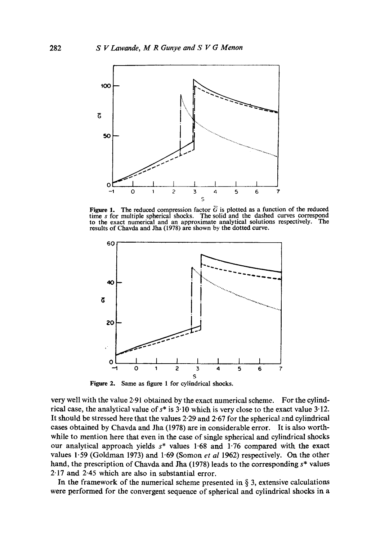

Figure 1. The reduced compression factor  $\overline{G}$  is plotted as a function of the reduced time  $s$  for multiple spherical shocks. The solid and the dashed curves correspond to the exact numerical and an approximate analytical solutions respectively. The to the exact numerical and an approximate analytical solutions respectively. results of Chavda and Jha (1978) are shown by the dotted curve.



**Figure 2.**  Same as figure 1 for cylindrical shocks.

very well with the value 2.91 obtained by the exact numerical scheme. For the cylindrical case, the analytical value of  $s^*$  is 3.10 which is very close to the exact value 3.12. It should be stressed here that the values 2.29 and 2.67 for the spherical and cylindrical cases obtained by Chavda and Jha (1978) are in considerable error. It is also worthwhile to mention here that even in the case of single spherical and cylindrical shocks our analytical approach yields  $s^*$  values 1.68 and 1.76 compared with the exact values 1.59 (Goldman I973) and 1.69 (Somon *et al* 1962) respectively. On the other hand, the prescription of Chavda and Jha (1978) leads to the corresponding s\* values 2.17 and 2-45 which are also in substantial error.

In the framework of the numerical scheme presented in  $\S$  3, extensive calculations were performed for the convergent sequence of spherical and cylindrical shocks in a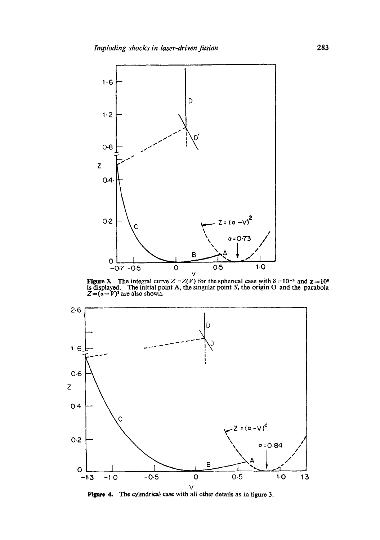

**Figure 3.** The integral curve  $Z = Z(V)$  for the spherical case with  $\delta = 10^{-2}$  and  $\chi = 10^6$  is displayed. The initial point A, the singular point S, the origin O and the parabola  $Z=(a-V)^2$  are also shown.



**Figure 4.**  The cylindrical case with all other details as in figure 3.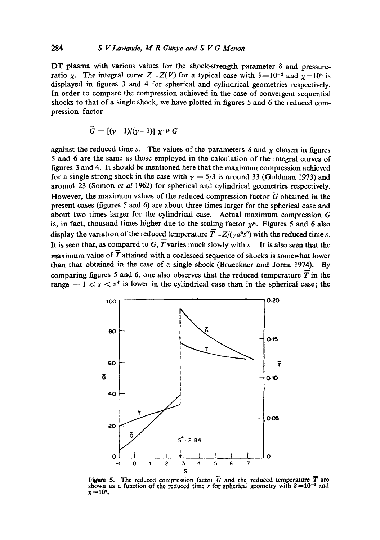DT plasma with various values for the shock-strength parameter  $\delta$  and pressureratio x. The integral curve  $Z = Z(V)$  for a typical case with  $\delta = 10^{-2}$  and  $\gamma = 10^6$  is displayed in figures 3 and 4 for spherical and cylindrical geometries respectively. In order to compare the compression achieved in the case of convergent sequential shocks to that of a single shock, we have plotted in figures 5 and 6 the reduced compression factor

$$
\mathbf{G}=[(\gamma+1)/(\gamma-1)]\ \mathbf{\chi}^{-\mu}\ \mathbf{G}
$$

against the reduced time s. The values of the parameters  $\delta$  and  $\chi$  chosen in figures 5 and 6 are the same as those employed in the calculation of the integral curves of figures 3 and 4. It should be mentioned here that the maximum compression achieved for a single strong shock in the case with  $\gamma = 5/3$  is around 33 (Goldman 1973) and around 23 (Somon *et al* 1962) for spherical and cylindrical geometries respectively. However, the maximum values of the reduced compression factor  $\overline{G}$  obtained in the present cases (figures 5 and 6) are about three times larger for the spherical case and about two times larger for the cylindrical case. Actual maximum compression G is, in fact, thousand times higher due to the scaling factor  $\chi^{\mu}$ . Figures 5 and 6 also display the variation of the reduced temperature  $\overline{T} = Z/(\gamma a^2 s^2)$  with the reduced time s. It is seen that, as compared to  $\overline{G}$ ,  $\overline{T}$  varies much slowly with s. It is also seen that the maximum value of  $\overline{T}$  attained with a coalesced sequence of shocks is somewhat lower than that obtained in the case of a single shock (Brueckner and Joma 1974). By comparing figures 5 and 6, one also observes that the reduced temperature  $\overline{T}$  in the range  $-1 \leq s \leq s^*$  is lower in the cylindrical case than in the spherical case; the



Figure 5. The reduced compression factor  $\vec{G}$  and the reduced temperature  $\vec{T}$  are shown as a function of the reduced time s for spherical geometry with  $\delta = 10^{-s}$  and  $x = 10^{\circ}$ .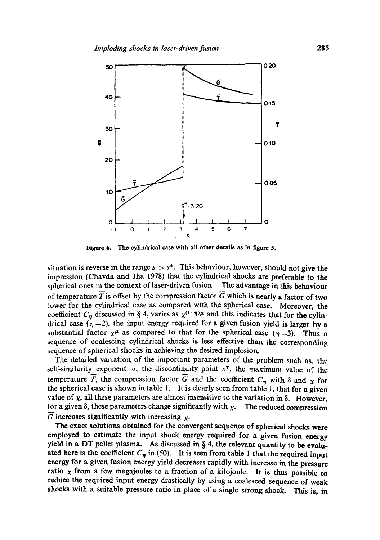

**Figure 6.** The cylindrical case with all other details as in figure 5.

situation is reverse in the range  $s > s^*$ . This behaviour, however, should not give the impression (Chavda and Jha 1978) that the cylindrical shocks are preferable to the spherical ones in the context of laser-driven fusion. The advantage in this behaviour of temperature  $\overline{T}$  is offset by the compression factor G which is nearly a factor of two lower for the cylindrical case as compared with the spherical case. Moreover, the coefficient  $C_{\eta}$  discussed in § 4, varies as  $\chi^{(1-\eta)\mu}$  and this indicates that for the cylindrical case  $(\eta=2)$ , the input energy required for a given fusion yield is larger by a substantial factor  $x^{\mu}$  as compared to that for the spherical case  $(\eta=3)$ . Thus a sequence of coalescing cylindrical shocks is less effective than the corresponding sequence of spherical shocks in achieving the desired implosion.

The detailed variation of the important parameters of the problem such as, the self-similarity exponent  $\alpha$ , the discontinuity point  $s^*$ , the maximum value of the temperature  $\overline{T}$ , the compression factor  $\overline{G}$  and the coefficient  $C_{\eta}$  with  $\delta$  and  $\chi$  for the spherical ease is shown in table 1. It is clearly seen from table 1, that for a given value of  $\chi$ , all these parameters are almost insensitive to the variation in  $\delta$ . However, for a given  $\delta$ , these parameters change significantly with  $\chi$ . The reduced compression G increases significantly with increasing  $\chi$ .

The exact solutions obtained for the convergent sequence of spherical shocks were employed to estimate the input shock energy required for a given fusion energy yield in a DT pellet plasma. As discussed in  $\S 4$ , the relevant quantity to be evaluated here is the coefficient  $C_{\eta}$  in (50). It is seen from table 1 that the required input energy for a given fusion energy yield decreases rapidly with increase in the pressure ratio  $x$  from a few megajoules to a fraction of a kilojoule. It is thus possible to reduce the required input energy drastically by using a coalesced sequence of weak shocks with a suitable pressure ratio in place of a single strong shock. This is, in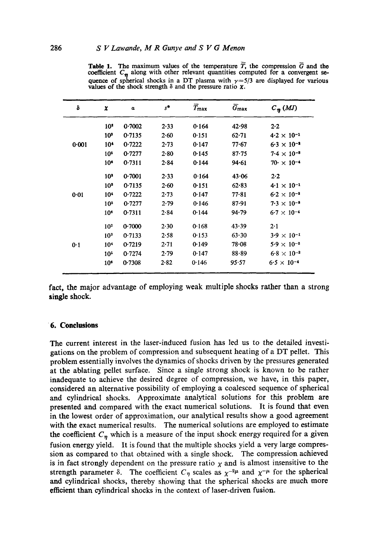|  | <b>Table 1.</b> The maximum values of the temperature T, the compression G and the                                                                               |  |  |  |  |
|--|------------------------------------------------------------------------------------------------------------------------------------------------------------------|--|--|--|--|
|  | coefficient $C_n$ along with other relevant quantities computed for a convergent se-                                                                             |  |  |  |  |
|  | quence of spherical shocks in a DT plasma with $\gamma = 5/3$ are displayed for various<br>values of the shock strength $\delta$ and the pressure ratio $\chi$ . |  |  |  |  |

| δ        | x               | $\alpha$ | $s^*$ | $\bar{T}_{\max}$ | $\bar{G}_{\rm max}$ | $C_{\eta}$ (MJ)           |
|----------|-----------------|----------|-------|------------------|---------------------|---------------------------|
|          | 10 <sup>2</sup> | 0.7002   | 2.33  | 0.164            | 42.98               | $2-2$                     |
|          | 10 <sup>3</sup> | 0.7135   | 2.60  | 0.151            | 62.71               | $4.2 \times 10^{-1}$      |
| 0.001    | 10 <sup>4</sup> | 0.7222   | 2.73  | 0.147            | 77.67               | $6.3 \times 10^{-2}$      |
|          | 10 <sup>5</sup> | 0.7277   | 2.80  | 0.145            | $87 - 75$           | $7.4 \times 10^{-3}$      |
|          | 10 <sup>°</sup> | 0.7311   | 2.84  | 0.144            | 94.61               | $70 \cdot \times 10^{-4}$ |
| $0 - 01$ | 10 <sup>3</sup> | 0.7001   | 2.33  | 0.164            | 43.06               | 2.2                       |
|          | 10 <sup>3</sup> | 0.7135   | 2.60  | 0.151            | 62.83               | $4.1 \times 10^{-1}$      |
|          | 104             | 0.7222   | 2.73  | 0.147            | 77.81               | $6.2 \times 10^{-2}$      |
|          | 10 <sup>5</sup> | 0.7277   | 2.79  | 0.146            | 87.91               | $7.3 \times 10^{-8}$      |
|          | 10 <sup>6</sup> | 0.7311   | 2.84  | 0.144            | 94.79               | $6.7 \times 10^{-4}$      |
| 0.1      | 10 <sup>3</sup> | 0.7000   | 2.30  | 0.168            | 43.39               | 2.1                       |
|          | 10 <sup>3</sup> | 0.7133   | 2.58  | 0.153            | 63.30               | $3.9 \times 10^{-1}$      |
|          | 10 <sup>4</sup> | 0.7219   | 2.71  | 0.149            | $78 - 08$           | $5.9 \times 10^{-2}$      |
|          | 10 <sup>5</sup> | 0.7274   | 2.79  | 0.147            | 88.89               | $6.8 \times 10^{-3}$      |
|          | 10 <sup>6</sup> | 0.7308   | 2.82  | 0.146            | 95.57               | $6.5 \times 10^{-4}$      |

fact, the major advantage of employing weak multiple shocks rather than a strong single shock.

#### **6. Conclusions**

The current interest in the laser-induced fusion has led us to the detailed investigations on the problem of compression and subsequent heating of a DT pellet. This problem essentially involves the dynamics of shocks driven by the pressures generated at the ablating pellet surface. Since a single strong shock is known to be rather inadequate to achieve the desired degree of compression, we have, in this paper, considered an alternative possibility of employing a coalesced sequence of spherical and cylindrical shocks. Approximate analytical solutions for this problem are presented and compared with the exact numerical solutions. It is found that even in the lowest order of approximation, our analytical results show a good agreement with the exact numerical results. The numerical solutions are employed to estimate the coefficient  $C_{\eta}$  which is a measure of the input shock energy required for a given fusion energy yield. It is found that the multiple shocks yield a very large compression as compared to that obtained with a single shock. The compression achieved is in fact strongly dependent on the pressure ratio  $\chi$  and is almost insensitive to the strength parameter  $\delta$ . The coefficient  $C_{\eta}$  scales as  $\chi^{-2\mu}$  and  $\chi^{-\mu}$  for the spherical and cylindrical shocks, thereby showing that the spherical shocks are much more efficient than cylindrical shocks in the context of laser-driven fusion.